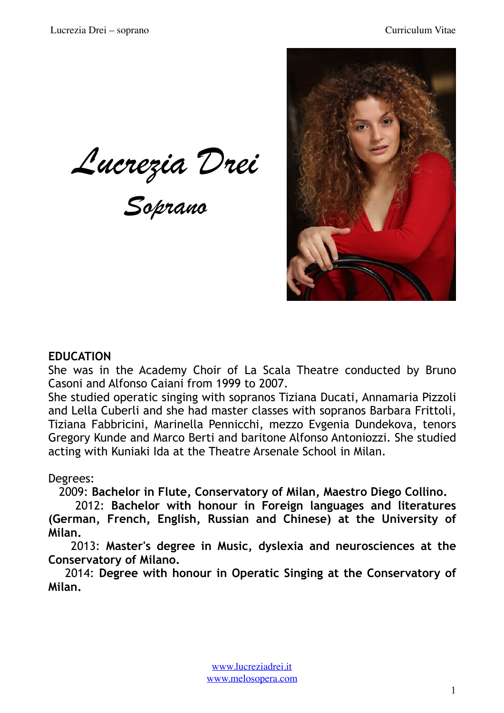*Lucrezia Drei* 

*Soprano* 



### **EDUCATION**

She was in the Academy Choir of La Scala Theatre conducted by Bruno Casoni and Alfonso Caiani from 1999 to 2007.

She studied operatic singing with sopranos Tiziana Ducati, Annamaria Pizzoli and Lella Cuberli and she had master classes with sopranos Barbara Frittoli, Tiziana Fabbricini, Marinella Pennicchi, mezzo Evgenia Dundekova, tenors Gregory Kunde and Marco Berti and baritone Alfonso Antoniozzi. She studied acting with Kuniaki Ida at the Theatre Arsenale School in Milan.

### Degrees:

2009: **Bachelor in Flute, Conservatory of Milan, Maestro Diego Collino.** 

 2012: **Bachelor with honour in Foreign languages and literatures (German, French, English, Russian and Chinese) at the University of Milan.**

 2013: **Master's degree in Music, dyslexia and neurosciences at the Conservatory of Milano.**

 2014: **Degree with honour in Operatic Singing at the Conservatory of Milan.**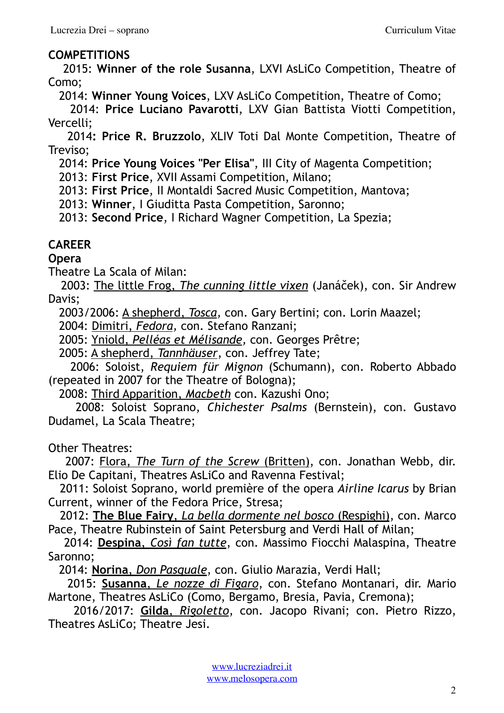## **COMPETITIONS**

 2015: **Winner of the role Susanna**, LXVI AsLiCo Competition, Theatre of Como;

2014: **Winner Young Voices**, LXV AsLiCo Competition, Theatre of Como;

 2014: **Price Luciano Pavarotti**, LXV Gian Battista Viotti Competition, Vercelli;

 2014**: Price R. Bruzzolo**, XLIV Toti Dal Monte Competition, Theatre of Treviso;

2014: **Price Young Voices "Per Elisa"**, III City of Magenta Competition;

2013: **First Price**, XVII Assami Competition, Milano;

2013: **First Price**, II Montaldi Sacred Music Competition, Mantova;

2013: **Winner**, I Giuditta Pasta Competition, Saronno;

2013: **Second Price**, I Richard Wagner Competition, La Spezia;

# **CAREER**

**Opera** 

Theatre La Scala of Milan:

 2003: The little Frog, *The cunning little vixen* (Janáček), con. Sir Andrew Davis;

2003/2006: A shepherd, *Tosca,* con. Gary Bertini; con. Lorin Maazel;

2004: Dimitri, *Fedora,* con. Stefano Ranzani;

2005: Yniold, *Pelléas et Mélisande,* con. Georges Prêtre;

2005: A shepherd, *Tannhäuser*, con. Jeffrey Tate;

 2006: Soloist, *Requiem für Mignon* (Schumann), con. Roberto Abbado (repeated in 2007 for the Theatre of Bologna);

2008: Third Apparition, *Macbeth* con. Kazushi Ono;

 2008: Soloist Soprano, *Chichester Psalms* (Bernstein), con. Gustavo Dudamel, La Scala Theatre;

Other Theatres:

 2007: Flora, *The Turn of the Screw* (Britten), con. Jonathan Webb, dir. Elio De Capitani, Theatres AsLiCo and Ravenna Festival;

 2011: Soloist Soprano, world première of the opera *Airline Icarus* by Brian Current, winner of the Fedora Price, Stresa;

 2012: **The Blue Fairy**, *La bella dormente nel bosco* (Respighi), con. Marco Pace, Theatre Rubinstein of Saint Petersburg and Verdi Hall of Milan;

 2014: **Despina**, *Così fan tutte*, con. Massimo Fiocchi Malaspina, Theatre Saronno;

2014: **Norina**, *Don Pasquale*, con. Giulio Marazia, Verdi Hall;

 2015: **Susanna**, *Le nozze di Figaro*, con. Stefano Montanari, dir. Mario Martone, Theatres AsLiCo (Como, Bergamo, Bresia, Pavia, Cremona);

 2016/2017: **Gilda**, *Rigoletto*, con. Jacopo Rivani; con. Pietro Rizzo, Theatres AsLiCo; Theatre Jesi.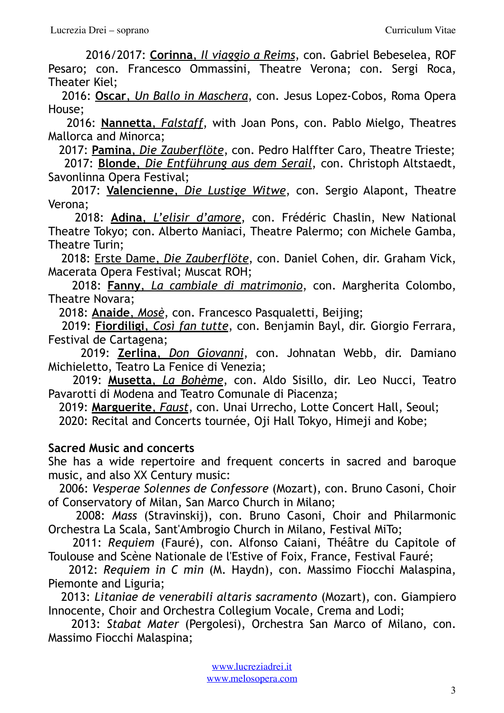2016/2017: **Corinna**, *Il viaggio a Reims*, con. Gabriel Bebeselea, ROF Pesaro; con. Francesco Ommassini, Theatre Verona; con. Sergi Roca, Theater Kiel;

 2016: **Oscar**, *Un Ballo in Maschera*, con. Jesus Lopez-Cobos, Roma Opera House;

 2016: **Nannetta**, *Falstaff*, with Joan Pons, con. Pablo Mielgo, Theatres Mallorca and Minorca;

 2017: **Pamina**, *Die Zauberflöte*, con. Pedro Halffter Caro, Theatre Trieste; 2017: **Blonde**, *Die Entführung aus dem Serail*, con. Christoph Altstaedt, Savonlinna Opera Festival;

 2017: **Valencienne**, *Die Lustige Witwe*, con. Sergio Alapont, Theatre Verona;

 2018: **Adina**, *L'elisir d'amore*, con. Frédéric Chaslin, New National Theatre Tokyo; con. Alberto Maniaci, Theatre Palermo; con Michele Gamba, Theatre Turin;

 2018: Erste Dame, *Die Zauberflöte*, con. Daniel Cohen, dir. Graham Vick, Macerata Opera Festival; Muscat ROH;

 2018: **Fanny**, *La cambiale di matrimonio*, con. Margherita Colombo, Theatre Novara;

2018: **Anaide**, *Mosè*, con. Francesco Pasqualetti, Beijing;

 2019: **Fiordiligi**, *Così fan tutte*, con. Benjamin Bayl, dir. Giorgio Ferrara, Festival de Cartagena;

 2019: **Zerlina**, *Don Giovanni*, con. Johnatan Webb, dir. Damiano Michieletto, Teatro La Fenice di Venezia;

 2019: **Musetta**, *La Bohème*, con. Aldo Sisillo, dir. Leo Nucci, Teatro Pavarotti di Modena and Teatro Comunale di Piacenza;

 2019: **Marguerite**, *Faust*, con. Unai Urrecho, Lotte Concert Hall, Seoul; 2020: Recital and Concerts tournée, Oji Hall Tokyo, Himeji and Kobe;

### **Sacred Music and concerts**

She has a wide repertoire and frequent concerts in sacred and baroque music, and also XX Century music:

 2006: *Vesperae Solennes de Confessore* (Mozart), con. Bruno Casoni, Choir of Conservatory of Milan, San Marco Church in Milano;

 2008: *Mass* (Stravinskij), con. Bruno Casoni, Choir and Philarmonic Orchestra La Scala, Sant'Ambrogio Church in Milano, Festival MiTo;

 2011: *Requiem* (Fauré), con. Alfonso Caiani, Théâtre du Capitole of Toulouse and Scène Nationale de l'Estive of Foix, France, Festival Fauré;

 2012: *Requiem in C min* (M. Haydn), con. Massimo Fiocchi Malaspina, Piemonte and Liguria;

 2013: *Litaniae de venerabili altaris sacramento* (Mozart), con. Giampiero Innocente, Choir and Orchestra Collegium Vocale, Crema and Lodi;

 2013: *Stabat Mater* (Pergolesi), Orchestra San Marco of Milano, con. Massimo Fiocchi Malaspina;